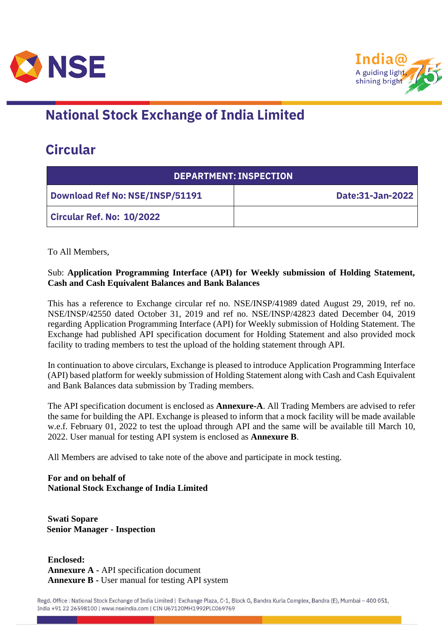



## **National Stock Exchange of India Limited**

## **Circular**

| <b>DEPARTMENT: INSPECTION</b>          |                  |  |
|----------------------------------------|------------------|--|
| <b>Download Ref No: NSE/INSP/51191</b> | Date:31-Jan-2022 |  |
| Circular Ref. No: 10/2022              |                  |  |

To All Members,

## Sub: **Application Programming Interface (API) for Weekly submission of Holding Statement, Cash and Cash Equivalent Balances and Bank Balances**

This has a reference to Exchange circular ref no. NSE/INSP/41989 dated August 29, 2019, ref no. NSE/INSP/42550 dated October 31, 2019 and ref no. NSE/INSP/42823 dated December 04, 2019 regarding Application Programming Interface (API) for Weekly submission of Holding Statement. The Exchange had published API specification document for Holding Statement and also provided mock facility to trading members to test the upload of the holding statement through API.

In continuation to above circulars, Exchange is pleased to introduce Application Programming Interface (API) based platform for weekly submission of Holding Statement along with Cash and Cash Equivalent and Bank Balances data submission by Trading members.

The API specification document is enclosed as **Annexure-A**. All Trading Members are advised to refer the same for building the API. Exchange is pleased to inform that a mock facility will be made available w.e.f. February 01, 2022 to test the upload through API and the same will be available till March 10, 2022. User manual for testing API system is enclosed as **Annexure B**.

All Members are advised to take note of the above and participate in mock testing.

**For and on behalf of National Stock Exchange of India Limited**

**Swati Sopare Senior Manager - Inspection**

**Enclosed: Annexure A -** API specification document **Annexure B -** User manual for testing API system